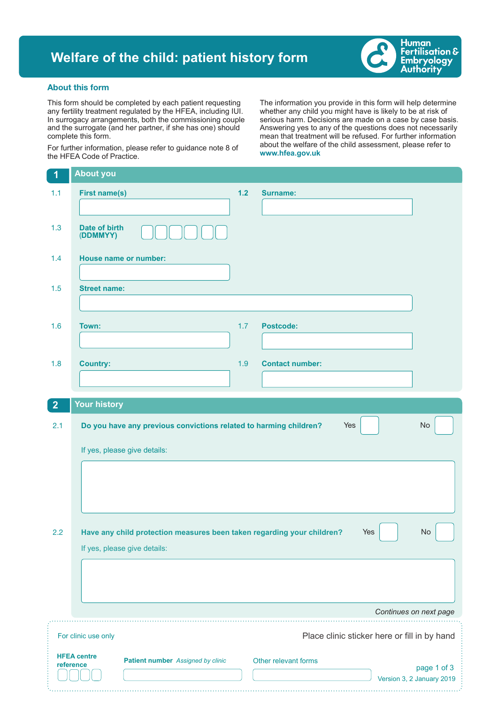## **Welfare of the child: patient history form**



## About this form

This form should be completed by each patient requesting any fertility treatment regulated by the HFEA, including IUI. In surrogacy arrangements, both the commissioning couple and the surrogate (and her partner, if she has one) should complete this form.

For further information, please refer to guidance note 8 of the HFEA Code of Practice.

The information you provide in this form will help determine whether any child you might have is likely to be at risk of serious harm. Decisions are made on a case by case basis. Answering yes to any of the questions does not necessarily mean that treatment will be refused. For further information about the welfare of the child assessment, please refer to **www.hfea.gov.uk**

| $\overline{1}$ | <b>About you</b>                                                       |       |                                              |
|----------------|------------------------------------------------------------------------|-------|----------------------------------------------|
| 1.1            | <b>First name(s)</b>                                                   | $1.2$ | <b>Surname:</b>                              |
|                |                                                                        |       |                                              |
| 1.3            | Date of birth<br>(DDMMYY)                                              |       |                                              |
| 1.4            | <b>House name or number:</b>                                           |       |                                              |
|                |                                                                        |       |                                              |
| 1.5            | <b>Street name:</b>                                                    |       |                                              |
|                |                                                                        |       |                                              |
| 1.6            | Town:                                                                  | 1.7   | <b>Postcode:</b>                             |
|                |                                                                        |       |                                              |
| 1.8            | <b>Country:</b>                                                        | 1.9   | <b>Contact number:</b>                       |
|                |                                                                        |       |                                              |
| $\overline{2}$ | <b>Your history</b>                                                    |       |                                              |
| 2.1            | Do you have any previous convictions related to harming children?      |       | No<br>Yes                                    |
|                | If yes, please give details:                                           |       |                                              |
|                |                                                                        |       |                                              |
|                |                                                                        |       |                                              |
|                |                                                                        |       |                                              |
| 2.2            | Have any child protection measures been taken regarding your children? |       | Yes<br>No                                    |
|                | If yes, please give details:                                           |       |                                              |
|                |                                                                        |       |                                              |
|                |                                                                        |       |                                              |
|                |                                                                        |       | Continues on next page                       |
|                | For clinic use only                                                    |       |                                              |
|                |                                                                        |       | Place clinic sticker here or fill in by hand |
|                | <b>HFEA centre</b><br>Patient number Assigned by clinic<br>reference   |       | Other relevant forms<br>page 1 of 3          |
|                |                                                                        |       | Version 3, 2 January 2019                    |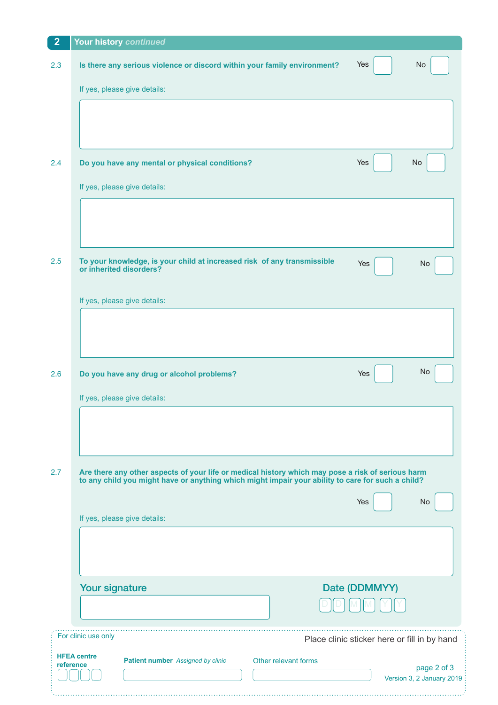| $\overline{2}$                                                     | Your history continued                                                                                          |  |  |  |  |
|--------------------------------------------------------------------|-----------------------------------------------------------------------------------------------------------------|--|--|--|--|
| 2.3                                                                | Is there any serious violence or discord within your family environment?<br>Yes<br><b>No</b>                    |  |  |  |  |
|                                                                    | If yes, please give details:                                                                                    |  |  |  |  |
|                                                                    |                                                                                                                 |  |  |  |  |
|                                                                    |                                                                                                                 |  |  |  |  |
|                                                                    |                                                                                                                 |  |  |  |  |
| 2.4                                                                | Do you have any mental or physical conditions?<br>Yes<br>No                                                     |  |  |  |  |
|                                                                    | If yes, please give details:                                                                                    |  |  |  |  |
|                                                                    |                                                                                                                 |  |  |  |  |
|                                                                    |                                                                                                                 |  |  |  |  |
|                                                                    |                                                                                                                 |  |  |  |  |
| 2.5                                                                | To your knowledge, is your child at increased risk of any transmissible<br>Yes<br>No<br>or inherited disorders? |  |  |  |  |
|                                                                    |                                                                                                                 |  |  |  |  |
|                                                                    | If yes, please give details:                                                                                    |  |  |  |  |
|                                                                    |                                                                                                                 |  |  |  |  |
|                                                                    |                                                                                                                 |  |  |  |  |
| 2.6                                                                | No<br>Do you have any drug or alcohol problems?<br>Yes                                                          |  |  |  |  |
|                                                                    |                                                                                                                 |  |  |  |  |
|                                                                    | If yes, please give details:                                                                                    |  |  |  |  |
|                                                                    |                                                                                                                 |  |  |  |  |
|                                                                    |                                                                                                                 |  |  |  |  |
| 2.7                                                                | Are there any other aspects of your life or medical history which may pose a risk of serious harm               |  |  |  |  |
|                                                                    | to any child you might have or anything which might impair your ability to care for such a child?               |  |  |  |  |
|                                                                    | Yes<br>No                                                                                                       |  |  |  |  |
|                                                                    | If yes, please give details:                                                                                    |  |  |  |  |
|                                                                    |                                                                                                                 |  |  |  |  |
|                                                                    |                                                                                                                 |  |  |  |  |
|                                                                    | Your signature<br>Date (DDMMYY)                                                                                 |  |  |  |  |
|                                                                    |                                                                                                                 |  |  |  |  |
|                                                                    | For clinic use only                                                                                             |  |  |  |  |
| Place clinic sticker here or fill in by hand<br><b>HFEA centre</b> |                                                                                                                 |  |  |  |  |
|                                                                    | Patient number Assigned by clinic<br>Other relevant forms<br>reference<br>page 2 of 3                           |  |  |  |  |
|                                                                    | Version 3, 2 January 2019                                                                                       |  |  |  |  |